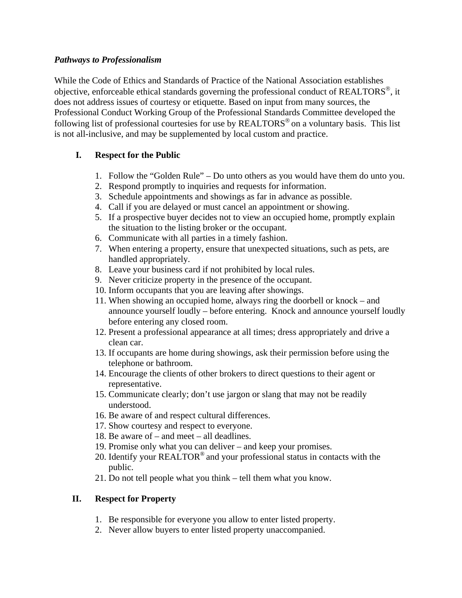## *Pathways to Professionalism*

While the Code of Ethics and Standards of Practice of the National Association establishes objective, enforceable ethical standards governing the professional conduct of REALTORS®, it does not address issues of courtesy or etiquette. Based on input from many sources, the Professional Conduct Working Group of the Professional Standards Committee developed the following list of professional courtesies for use by  $REALTORS^{\otimes}$  on a voluntary basis. This list is not all-inclusive, and may be supplemented by local custom and practice.

## **I. Respect for the Public**

- 1. Follow the "Golden Rule" Do unto others as you would have them do unto you.
- 2. Respond promptly to inquiries and requests for information.
- 3. Schedule appointments and showings as far in advance as possible.
- 4. Call if you are delayed or must cancel an appointment or showing.
- 5. If a prospective buyer decides not to view an occupied home, promptly explain the situation to the listing broker or the occupant.
- 6. Communicate with all parties in a timely fashion.
- 7. When entering a property, ensure that unexpected situations, such as pets, are handled appropriately.
- 8. Leave your business card if not prohibited by local rules.
- 9. Never criticize property in the presence of the occupant.
- 10. Inform occupants that you are leaving after showings.
- 11. When showing an occupied home, always ring the doorbell or knock and announce yourself loudly – before entering. Knock and announce yourself loudly before entering any closed room.
- 12. Present a professional appearance at all times; dress appropriately and drive a clean car.
- 13. If occupants are home during showings, ask their permission before using the telephone or bathroom.
- 14. Encourage the clients of other brokers to direct questions to their agent or representative.
- 15. Communicate clearly; don't use jargon or slang that may not be readily understood.
- 16. Be aware of and respect cultural differences.
- 17. Show courtesy and respect to everyone.
- 18. Be aware of and meet all deadlines.
- 19. Promise only what you can deliver and keep your promises.
- 20. Identify your REALTOR<sup>®</sup> and your professional status in contacts with the public.
- 21. Do not tell people what you think tell them what you know.

## **II. Respect for Property**

- 1. Be responsible for everyone you allow to enter listed property.
- 2. Never allow buyers to enter listed property unaccompanied.